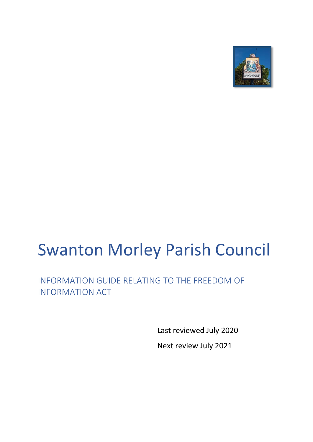

# Swanton Morley Parish Council

INFORMATION GUIDE RELATING TO THE FREEDOM OF INFORMATION ACT

> Last reviewed July 2020 Next review July 2021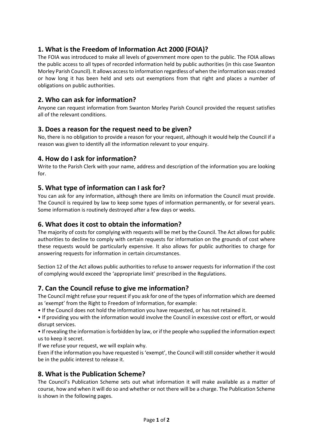# **1. What is the Freedom of Information Act 2000 (FOIA)?**

The FOIA was introduced to make all levels of government more open to the public. The FOIA allows the public access to all types of recorded information held by public authorities (in this case Swanton Morley Parish Council). It allows access to information regardless of when the information was created or how long it has been held and sets out exemptions from that right and places a number of obligations on public authorities.

## **2. Who can ask for information?**

Anyone can request information from Swanton Morley Parish Council provided the request satisfies all of the relevant conditions.

#### **3. Does a reason for the request need to be given?**

No, there is no obligation to provide a reason for your request, although it would help the Council if a reason was given to identify all the information relevant to your enquiry.

## **4. How do I ask for information?**

Write to the Parish Clerk with your name, address and description of the information you are looking for.

## **5. What type of information can I ask for?**

You can ask for any information, although there are limits on information the Council must provide. The Council is required by law to keep some types of information permanently, or for several years. Some information is routinely destroyed after a few days or weeks.

## **6. What does it cost to obtain the information?**

The majority of costs for complying with requests will be met by the Council. The Act allows for public authorities to decline to comply with certain requests for information on the grounds of cost where these requests would be particularly expensive. It also allows for public authorities to charge for answering requests for information in certain circumstances.

Section 12 of the Act allows public authorities to refuse to answer requests for information if the cost of complying would exceed the 'appropriate limit' prescribed in the Regulations.

## **7. Can the Council refuse to give me information?**

The Council might refuse your request if you ask for one of the types of information which are deemed as 'exempt' from the Right to Freedom of Information, for example:

• If the Council does not hold the information you have requested, or has not retained it.

• If providing you with the information would involve the Council in excessive cost or effort, or would disrupt services.

• If revealing the information is forbidden by law, or if the people who supplied the information expect us to keep it secret.

If we refuse your request, we will explain why.

Even if the information you have requested is 'exempt', the Council will still consider whether it would be in the public interest to release it.

## **8. What is the Publication Scheme?**

The Council's Publication Scheme sets out what information it will make available as a matter of course, how and when it will do so and whether or not there will be a charge. The Publication Scheme is shown in the following pages.